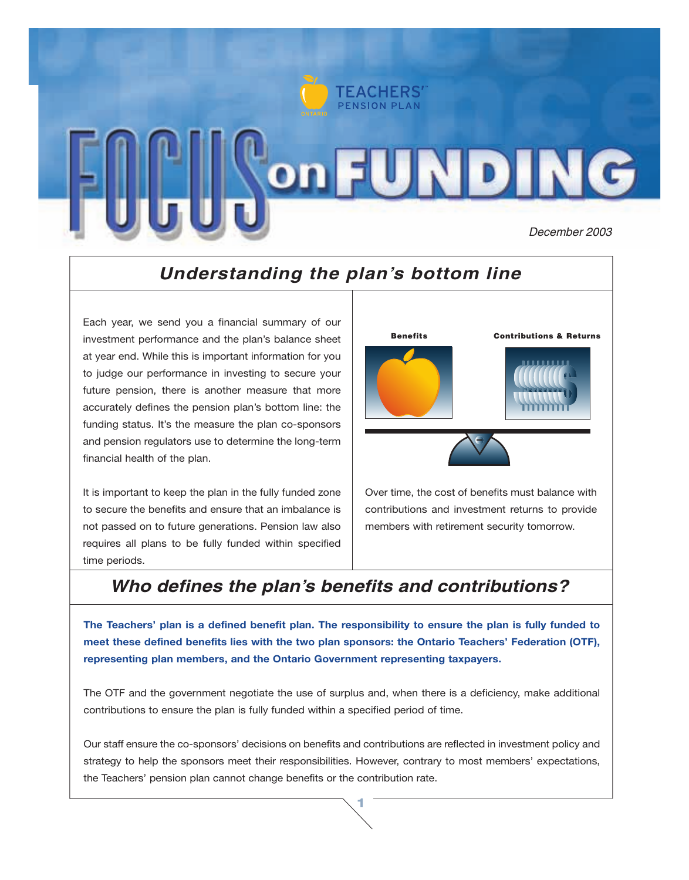

### *Understanding the plan's bottom line*

Each year, we send you a financial summary of our investment performance and the plan's balance sheet at year end. While this is important information for you to judge our performance in investing to secure your future pension, there is another measure that more accurately defines the pension plan's bottom line: the funding status. It's the measure the plan co-sponsors and pension regulators use to determine the long-term financial health of the plan.

It is important to keep the plan in the fully funded zone to secure the benefits and ensure that an imbalance is not passed on to future generations. Pension law also requires all plans to be fully funded within specified time periods.



Over time, the cost of benefits must balance with contributions and investment returns to provide members with retirement security tomorrow.

## *Who defines the plan's benefits and contributions?*

**The Teachers' plan is a defined benefit plan. The responsibility to ensure the plan is fully funded to meet these defined benefits lies with the two plan sponsors: the Ontario Teachers' Federation (OTF), representing plan members, and the Ontario Government representing taxpayers.**

The OTF and the government negotiate the use of surplus and, when there is a deficiency, make additional contributions to ensure the plan is fully funded within a specified period of time.

Our staff ensure the co-sponsors' decisions on benefits and contributions are reflected in investment policy and strategy to help the sponsors meet their responsibilities. However, contrary to most members' expectations, the Teachers' pension plan cannot change benefits or the contribution rate.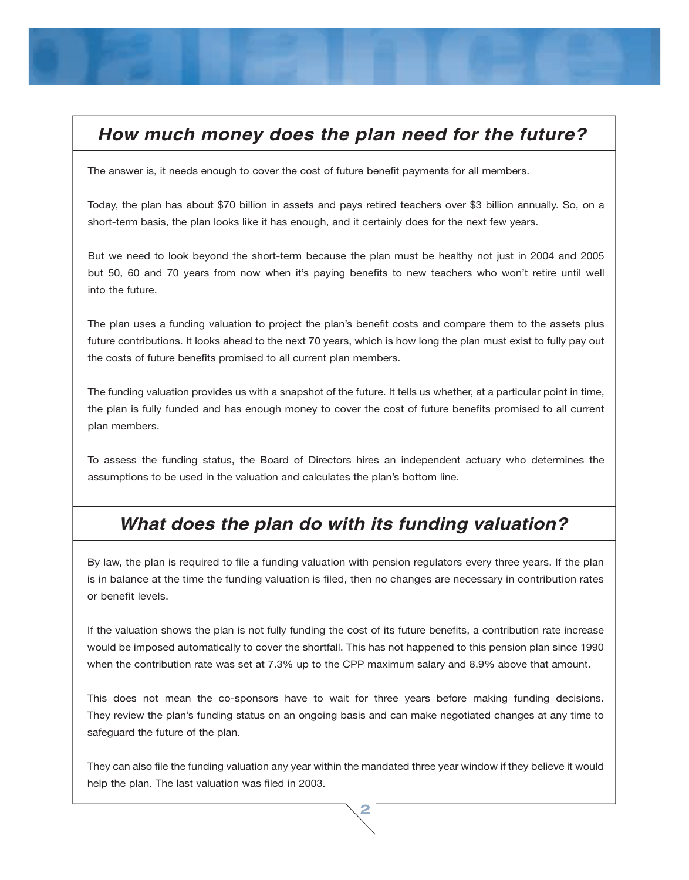## *How much money does the plan need for the future?*

The answer is, it needs enough to cover the cost of future benefit payments for all members.

Today, the plan has about \$70 billion in assets and pays retired teachers over \$3 billion annually. So, on a short-term basis, the plan looks like it has enough, and it certainly does for the next few years.

But we need to look beyond the short-term because the plan must be healthy not just in 2004 and 2005 but 50, 60 and 70 years from now when it's paying benefits to new teachers who won't retire until well into the future.

The plan uses a funding valuation to project the plan's benefit costs and compare them to the assets plus future contributions. It looks ahead to the next 70 years, which is how long the plan must exist to fully pay out the costs of future benefits promised to all current plan members.

The funding valuation provides us with a snapshot of the future. It tells us whether, at a particular point in time, the plan is fully funded and has enough money to cover the cost of future benefits promised to all current plan members.

To assess the funding status, the Board of Directors hires an independent actuary who determines the assumptions to be used in the valuation and calculates the plan's bottom line.

#### *What does the plan do with its funding valuation?*

By law, the plan is required to file a funding valuation with pension regulators every three years. If the plan is in balance at the time the funding valuation is filed, then no changes are necessary in contribution rates or benefit levels.

If the valuation shows the plan is not fully funding the cost of its future benefits, a contribution rate increase would be imposed automatically to cover the shortfall. This has not happened to this pension plan since 1990 when the contribution rate was set at 7.3% up to the CPP maximum salary and 8.9% above that amount.

This does not mean the co-sponsors have to wait for three years before making funding decisions. They review the plan's funding status on an ongoing basis and can make negotiated changes at any time to safeguard the future of the plan.

They can also file the funding valuation any year within the mandated three year window if they believe it would help the plan. The last valuation was filed in 2003.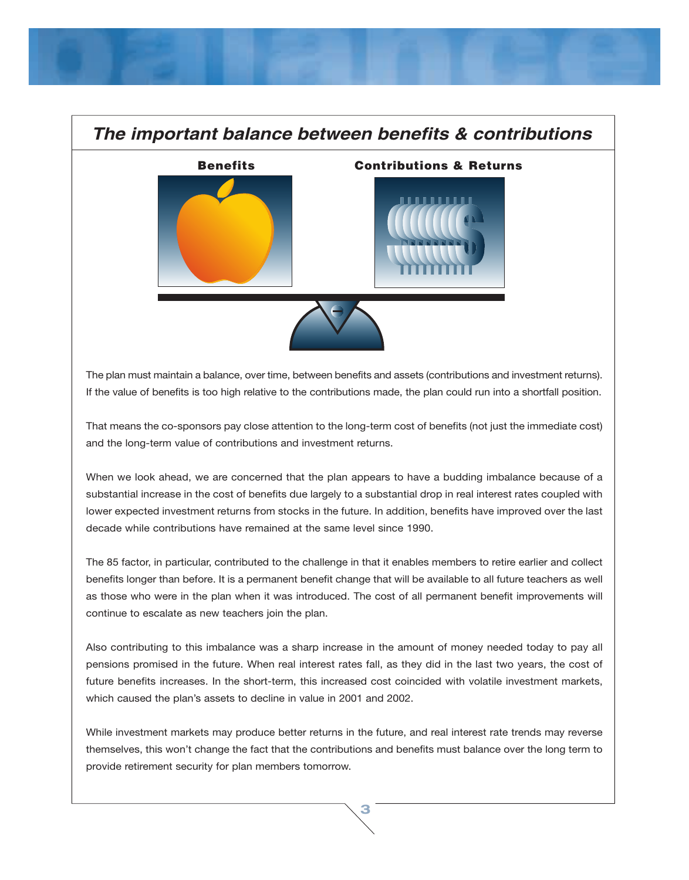# *The important balance between benefits & contributions* Benefits Contributions & Returns

The plan must maintain a balance, over time, between benefits and assets (contributions and investment returns). If the value of benefits is too high relative to the contributions made, the plan could run into a shortfall position.

That means the co-sponsors pay close attention to the long-term cost of benefits (not just the immediate cost) and the long-term value of contributions and investment returns.

When we look ahead, we are concerned that the plan appears to have a budding imbalance because of a substantial increase in the cost of benefits due largely to a substantial drop in real interest rates coupled with lower expected investment returns from stocks in the future. In addition, benefits have improved over the last decade while contributions have remained at the same level since 1990.

The 85 factor, in particular, contributed to the challenge in that it enables members to retire earlier and collect benefits longer than before. It is a permanent benefit change that will be available to all future teachers as well as those who were in the plan when it was introduced. The cost of all permanent benefit improvements will continue to escalate as new teachers join the plan.

Also contributing to this imbalance was a sharp increase in the amount of money needed today to pay all pensions promised in the future. When real interest rates fall, as they did in the last two years, the cost of future benefits increases. In the short-term, this increased cost coincided with volatile investment markets, which caused the plan's assets to decline in value in 2001 and 2002.

While investment markets may produce better returns in the future, and real interest rate trends may reverse themselves, this won't change the fact that the contributions and benefits must balance over the long term to provide retirement security for plan members tomorrow.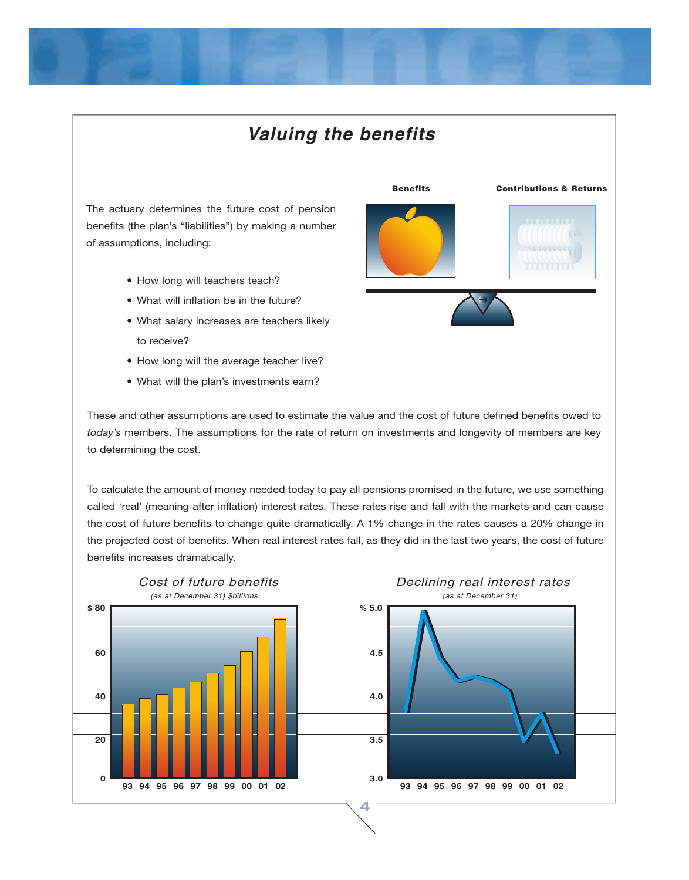# *Valuing the benefits*

The actuary determines the future cost of pension benefits (the plan's "liabilities") by making a number of assumptions, including:

- How long will teachers teach?
- What will inflation be in the future?
- What salary increases are teachers likely to receive?
- How long will the average teacher live?
- What will the plan's investments earn?



These and other assumptions are used to estimate the value and the cost of future defined benefits owed to *today's* members. The assumptions for the rate of return on investments and longevity of members are key to determining the cost.

To calculate the amount of money needed today to pay all pensions promised in the future, we use something called 'real' (meaning after inflation) interest rates. These rates rise and fall with the markets and can cause the cost of future benefits to change quite dramatically. A 1% change in the rates causes a 20% change in the projected cost of benefits. When real interest rates fall, as they did in the last two years, the cost of future benefits increases dramatically.

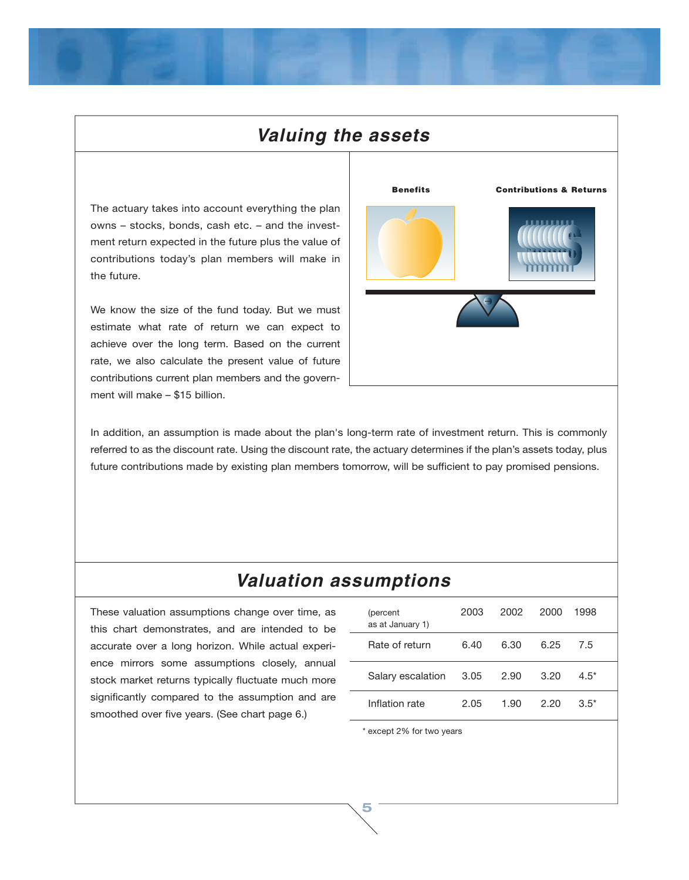## *Valuing the assets*

The actuary takes into account everything the plan owns – stocks, bonds, cash etc. – and the investment return expected in the future plus the value of contributions today's plan members will make in the future.

We know the size of the fund today. But we must estimate what rate of return we can expect to achieve over the long term. Based on the current rate, we also calculate the present value of future contributions current plan members and the government will make – \$15 billion.



In addition, an assumption is made about the plan's long-term rate of investment return. This is commonly referred to as the discount rate. Using the discount rate, the actuary determines if the plan's assets today, plus future contributions made by existing plan members tomorrow, will be sufficient to pay promised pensions.

# *Valuation assumptions*

These valuation assumptions change over time, as this chart demonstrates, and are intended to be accurate over a long horizon. While actual experience mirrors some assumptions closely, annual stock market returns typically fluctuate much more significantly compared to the assumption and are smoothed over five years. (See chart page 6.)

| (percent<br>as at January 1) | 2003 | 2002 | 2000 | 1998   |  |
|------------------------------|------|------|------|--------|--|
| Rate of return               | 6.40 | 6.30 | ճ 25 | 75     |  |
| Salary escalation            | 3.05 | 2.90 | 3.20 | $4.5*$ |  |
| Inflation rate               | 2.05 | 1.90 | 220  | $3.5*$ |  |

\* except 2% for two years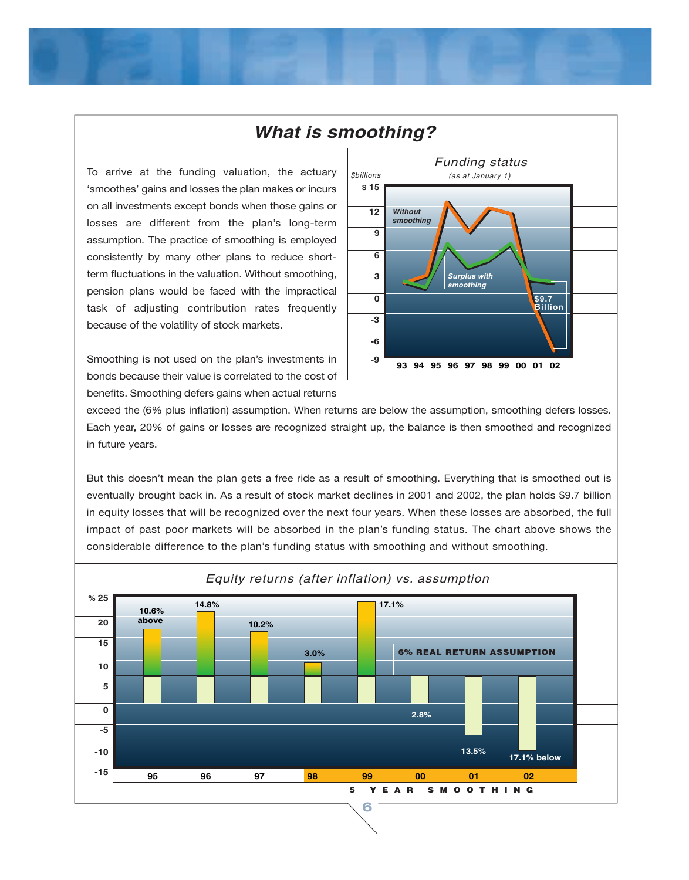#### **What is smoothing?**

To arrive at the funding valuation, the actuary  $|<sub>sbillions</sub>$ 'smoothes' gains and losses the plan makes or incurs on all investments except bonds when those gains or losses are different from the plan's long-term assumption. The practice of smoothing is employed consistently by many other plans to reduce shortterm fluctuations in the valuation. Without smoothing, pension plans would be faced with the impractical task of adjusting contribution rates frequently because of the volatility of stock markets.

Smoothing is not used on the plan's investments in bonds because their value is correlated to the cost of benefits. Smoothing defers gains when actual returns



exceed the (6% plus inflation) assumption. When returns are below the assumption, smoothing defers losses. Each year, 20% of gains or losses are recognized straight up, the balance is then smoothed and recognized in future years.

But this doesn't mean the plan gets a free ride as a result of smoothing. Everything that is smoothed out is eventually brought back in. As a result of stock market declines in 2001 and 2002, the plan holds \$9.7 billion in equity losses that will be recognized over the next four years. When these losses are absorbed, the full impact of past poor markets will be absorbed in the plan's funding status. The chart above shows the considerable difference to the plan's funding status with smoothing and without smoothing.

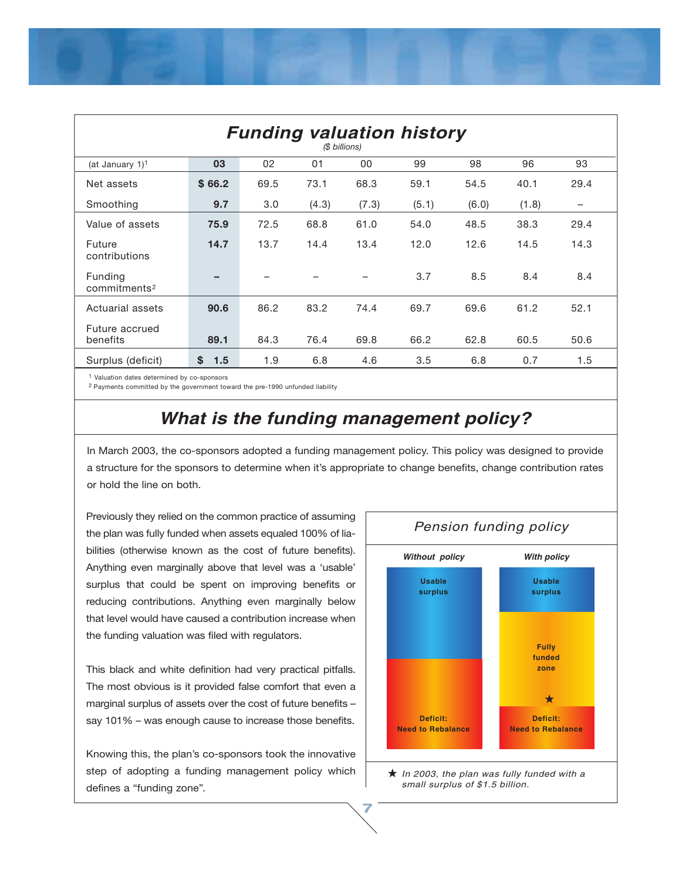| <b>Funding valuation history</b><br>(\$ billions) |           |      |       |       |       |       |       |                   |
|---------------------------------------------------|-----------|------|-------|-------|-------|-------|-------|-------------------|
| (at January 1) <sup>1</sup>                       | 03        | 02   | 01    | 00    | 99    | 98    | 96    | 93                |
| Net assets                                        | \$66.2    | 69.5 | 73.1  | 68.3  | 59.1  | 54.5  | 40.1  | 29.4              |
| Smoothing                                         | 9.7       | 3.0  | (4.3) | (7.3) | (5.1) | (6.0) | (1.8) | $\qquad \qquad -$ |
| Value of assets                                   | 75.9      | 72.5 | 68.8  | 61.0  | 54.0  | 48.5  | 38.3  | 29.4              |
| Future<br>contributions                           | 14.7      | 13.7 | 14.4  | 13.4  | 12.0  | 12.6  | 14.5  | 14.3              |
| Funding<br>commitments <sup>2</sup>               | -         |      |       |       | 3.7   | 8.5   | 8.4   | 8.4               |
| Actuarial assets                                  | 90.6      | 86.2 | 83.2  | 74.4  | 69.7  | 69.6  | 61.2  | 52.1              |
| Future accrued<br>benefits                        | 89.1      | 84.3 | 76.4  | 69.8  | 66.2  | 62.8  | 60.5  | 50.6              |
| Surplus (deficit)                                 | \$<br>1.5 | 1.9  | 6.8   | 4.6   | 3.5   | 6.8   | 0.7   | 1.5               |

1 Valuation dates determined by co-sponsors

2 Payments committed by the government toward the pre-1990 unfunded liability

## *What is the funding management policy?*

In March 2003, the co-sponsors adopted a funding management policy. This policy was designed to provide a structure for the sponsors to determine when it's appropriate to change benefits, change contribution rates or hold the line on both.

**7**

Previously they relied on the common practice of assuming the plan was fully funded when assets equaled 100% of liabilities (otherwise known as the cost of future benefits). Anything even marginally above that level was a 'usable' surplus that could be spent on improving benefits or reducing contributions. Anything even marginally below that level would have caused a contribution increase when the funding valuation was filed with regulators.

This black and white definition had very practical pitfalls. The most obvious is it provided false comfort that even a marginal surplus of assets over the cost of future benefits – say 101% – was enough cause to increase those benefits.

Knowing this, the plan's co-sponsors took the innovative step of adopting a funding management policy which defines a "funding zone".



*In 2003, the plan was fully funded with a small surplus of \$1.5 billion.*